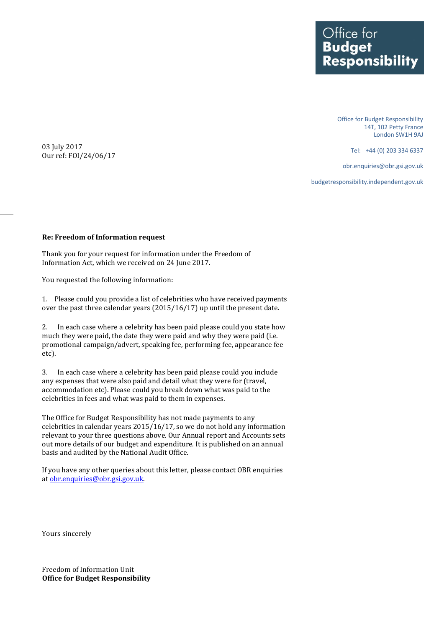Office for<br>**Budget Responsibility** 

> Office for Budget Responsibility 14T, 102 Petty France London SW1H 9AJ

> > Tel: +44 (0) 203 334 6337

obr.enquiries@obr.gsi.gov.uk

budgetresponsibility.independent.gov.uk

03 July 2017 Our ref: FOI/24/06/17

## **Re: Freedom of Information request**

Thank you for your request for information under the Freedom of Information Act, which we received on 24 June 2017.

You requested the following information:

1. Please could you provide a list of celebrities who have received payments over the past three calendar years (2015/16/17) up until the present date.

2. In each case where a celebrity has been paid please could you state how much they were paid, the date they were paid and why they were paid (i.e. promotional campaign/advert, speaking fee, performing fee, appearance fee etc).

3. In each case where a celebrity has been paid please could you include any expenses that were also paid and detail what they were for (travel, accommodation etc). Please could you break down what was paid to the celebrities in fees and what was paid to them in expenses.

The Office for Budget Responsibility has not made payments to any celebrities in calendar years 2015/16/17, so we do not hold any information relevant to your three questions above. Our Annual report and Accounts sets out more details of our budget and expenditure. It is published on an annual basis and audited by the National Audit Office.

If you have any other queries about this letter, please contact OBR enquiries at [obr.enquiries@obr.gsi.gov.uk.](mailto:obr.enquiries@obr.gsi.gov.uk)

Yours sincerely

Freedom of Information Unit **Office for Budget Responsibility**